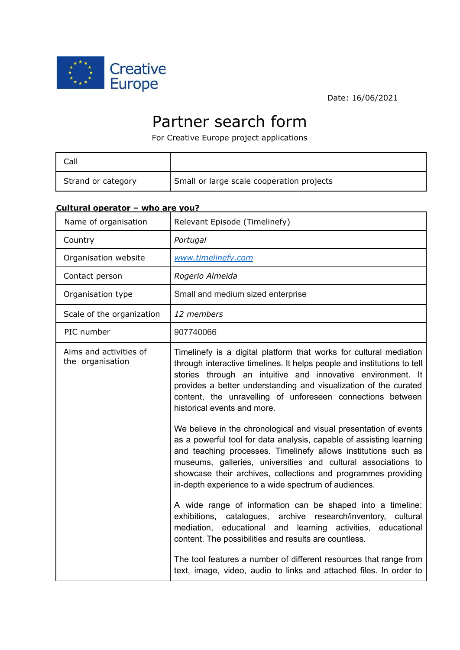

Date: 16/06/2021

# Partner search form

For Creative Europe project applications

| Call               |                                           |
|--------------------|-------------------------------------------|
| Strand or category | Small or large scale cooperation projects |

### **Cultural operator – who are you?**

| Name of organisation                       | Relevant Episode (Timelinefy)                                                                                                                                                                                                                                                                                                                                                                        |
|--------------------------------------------|------------------------------------------------------------------------------------------------------------------------------------------------------------------------------------------------------------------------------------------------------------------------------------------------------------------------------------------------------------------------------------------------------|
| Country                                    | Portugal                                                                                                                                                                                                                                                                                                                                                                                             |
| Organisation website                       | www.timelinefy.com                                                                                                                                                                                                                                                                                                                                                                                   |
| Contact person                             | Rogerio Almeida                                                                                                                                                                                                                                                                                                                                                                                      |
| Organisation type                          | Small and medium sized enterprise                                                                                                                                                                                                                                                                                                                                                                    |
| Scale of the organization                  | 12 members                                                                                                                                                                                                                                                                                                                                                                                           |
| PIC number                                 | 907740066                                                                                                                                                                                                                                                                                                                                                                                            |
| Aims and activities of<br>the organisation | Timelinefy is a digital platform that works for cultural mediation<br>through interactive timelines. It helps people and institutions to tell<br>stories through an intuitive and innovative environment. It<br>provides a better understanding and visualization of the curated<br>content, the unravelling of unforeseen connections between<br>historical events and more.                        |
|                                            | We believe in the chronological and visual presentation of events<br>as a powerful tool for data analysis, capable of assisting learning<br>and teaching processes. Timelinefy allows institutions such as<br>museums, galleries, universities and cultural associations to<br>showcase their archives, collections and programmes providing<br>in-depth experience to a wide spectrum of audiences. |
|                                            | A wide range of information can be shaped into a timeline:<br>archive research/inventory, cultural<br>exhibitions, catalogues,<br>mediation, educational and learning activities, educational<br>content. The possibilities and results are countless.                                                                                                                                               |
|                                            | The tool features a number of different resources that range from<br>text, image, video, audio to links and attached files. In order to                                                                                                                                                                                                                                                              |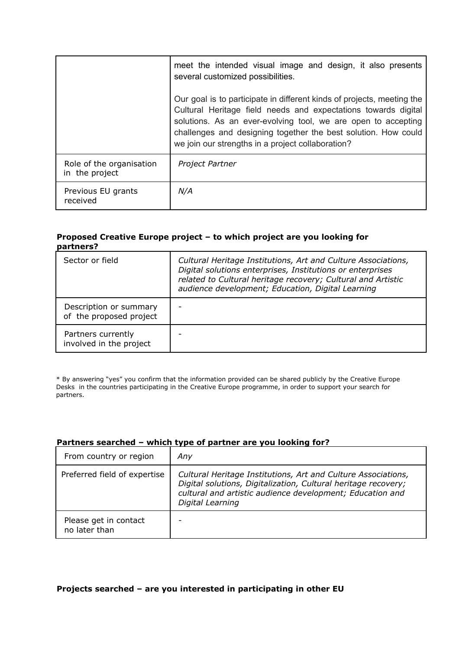|                                            | meet the intended visual image and design, it also presents<br>several customized possibilities.                                                                                                                                                                                                                                 |
|--------------------------------------------|----------------------------------------------------------------------------------------------------------------------------------------------------------------------------------------------------------------------------------------------------------------------------------------------------------------------------------|
|                                            | Our goal is to participate in different kinds of projects, meeting the<br>Cultural Heritage field needs and expectations towards digital<br>solutions. As an ever-evolving tool, we are open to accepting<br>challenges and designing together the best solution. How could<br>we join our strengths in a project collaboration? |
| Role of the organisation<br>in the project | Project Partner                                                                                                                                                                                                                                                                                                                  |
| Previous EU grants<br>received             | N/A                                                                                                                                                                                                                                                                                                                              |

#### **Proposed Creative Europe project – to which project are you looking for partners?**

| Sector or field                                   | Cultural Heritage Institutions, Art and Culture Associations,<br>Digital solutions enterprises, Institutions or enterprises<br>related to Cultural heritage recovery; Cultural and Artistic<br>audience development; Education, Digital Learning |
|---------------------------------------------------|--------------------------------------------------------------------------------------------------------------------------------------------------------------------------------------------------------------------------------------------------|
| Description or summary<br>of the proposed project |                                                                                                                                                                                                                                                  |
| Partners currently<br>involved in the project     |                                                                                                                                                                                                                                                  |

\* By answering "yes" you confirm that the information provided can be shared publicly by the Creative Europe Desks in the countries participating in the Creative Europe programme, in order to support your search for partners.

#### **Partners searched – which type of partner are you looking for?**

| From country or region                 | Any                                                                                                                                                                                                              |
|----------------------------------------|------------------------------------------------------------------------------------------------------------------------------------------------------------------------------------------------------------------|
| Preferred field of expertise           | Cultural Heritage Institutions, Art and Culture Associations,<br>Digital solutions, Digitalization, Cultural heritage recovery;<br>cultural and artistic audience development; Education and<br>Digital Learning |
| Please get in contact<br>no later than |                                                                                                                                                                                                                  |